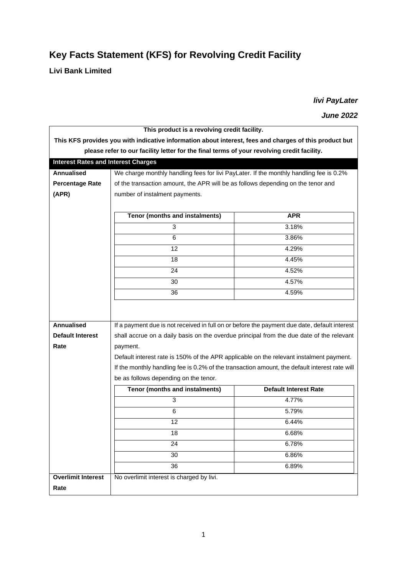## **Key Facts Statement (KFS) for Revolving Credit Facility**

**Livi Bank Limited**

*livi PayLater*

*June 2022*

| This product is a revolving credit facility.                                                           |                                                                                               |                                                                                              |  |
|--------------------------------------------------------------------------------------------------------|-----------------------------------------------------------------------------------------------|----------------------------------------------------------------------------------------------|--|
| This KFS provides you with indicative information about interest, fees and charges of this product but |                                                                                               |                                                                                              |  |
| please refer to our facility letter for the final terms of your revolving credit facility.             |                                                                                               |                                                                                              |  |
| <b>Interest Rates and Interest Charges</b>                                                             |                                                                                               |                                                                                              |  |
| <b>Annualised</b>                                                                                      | We charge monthly handling fees for livi PayLater. If the monthly handling fee is 0.2%        |                                                                                              |  |
| <b>Percentage Rate</b>                                                                                 | of the transaction amount, the APR will be as follows depending on the tenor and              |                                                                                              |  |
| (APR)                                                                                                  | number of instalment payments.                                                                |                                                                                              |  |
|                                                                                                        |                                                                                               |                                                                                              |  |
|                                                                                                        | Tenor (months and instalments)                                                                | <b>APR</b>                                                                                   |  |
|                                                                                                        | 3                                                                                             | 3.18%                                                                                        |  |
|                                                                                                        | 6                                                                                             | 3.86%                                                                                        |  |
|                                                                                                        | 12                                                                                            | 4.29%                                                                                        |  |
|                                                                                                        | 18                                                                                            | 4.45%                                                                                        |  |
|                                                                                                        | 24                                                                                            | 4.52%                                                                                        |  |
|                                                                                                        | 30                                                                                            | 4.57%                                                                                        |  |
|                                                                                                        | 36                                                                                            | 4.59%                                                                                        |  |
|                                                                                                        |                                                                                               |                                                                                              |  |
|                                                                                                        |                                                                                               |                                                                                              |  |
| <b>Annualised</b>                                                                                      |                                                                                               | If a payment due is not received in full on or before the payment due date, default interest |  |
| <b>Default Interest</b>                                                                                | shall accrue on a daily basis on the overdue principal from the due date of the relevant      |                                                                                              |  |
| Rate                                                                                                   | payment.                                                                                      |                                                                                              |  |
|                                                                                                        | Default interest rate is 150% of the APR applicable on the relevant instalment payment.       |                                                                                              |  |
|                                                                                                        | If the monthly handling fee is 0.2% of the transaction amount, the default interest rate will |                                                                                              |  |
|                                                                                                        | be as follows depending on the tenor.                                                         |                                                                                              |  |
|                                                                                                        | Tenor (months and instalments)                                                                | <b>Default Interest Rate</b>                                                                 |  |
|                                                                                                        | 3                                                                                             | 4.77%                                                                                        |  |
|                                                                                                        | 6                                                                                             | 5.79%                                                                                        |  |
|                                                                                                        | 12                                                                                            | 6.44%                                                                                        |  |
|                                                                                                        | 18                                                                                            | 6.68%                                                                                        |  |
|                                                                                                        | 24                                                                                            | 6.78%                                                                                        |  |
|                                                                                                        | 30                                                                                            | 6.86%                                                                                        |  |
|                                                                                                        | 36                                                                                            | 6.89%                                                                                        |  |
| <b>Overlimit Interest</b>                                                                              | No overlimit interest is charged by livi.                                                     |                                                                                              |  |
| Rate                                                                                                   |                                                                                               |                                                                                              |  |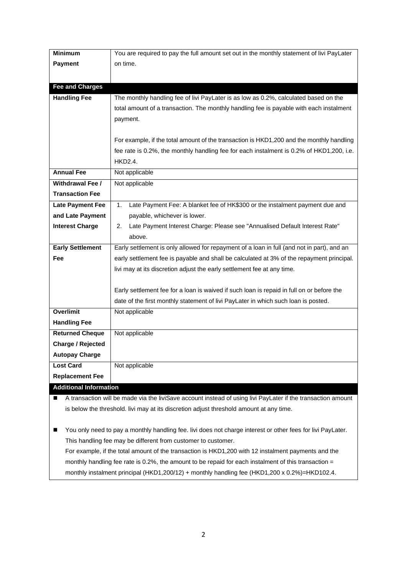| <b>Minimum</b>                                                                                                    | You are required to pay the full amount set out in the monthly statement of livi PayLater  |  |
|-------------------------------------------------------------------------------------------------------------------|--------------------------------------------------------------------------------------------|--|
| <b>Payment</b>                                                                                                    | on time.                                                                                   |  |
|                                                                                                                   |                                                                                            |  |
| <b>Fee and Charges</b>                                                                                            |                                                                                            |  |
| <b>Handling Fee</b>                                                                                               | The monthly handling fee of livi PayLater is as low as 0.2%, calculated based on the       |  |
|                                                                                                                   | total amount of a transaction. The monthly handling fee is payable with each instalment    |  |
|                                                                                                                   | payment.                                                                                   |  |
|                                                                                                                   |                                                                                            |  |
|                                                                                                                   | For example, if the total amount of the transaction is HKD1,200 and the monthly handling   |  |
|                                                                                                                   | fee rate is 0.2%, the monthly handling fee for each instalment is 0.2% of HKD1,200, i.e.   |  |
|                                                                                                                   | HKD2.4.                                                                                    |  |
| <b>Annual Fee</b>                                                                                                 | Not applicable                                                                             |  |
| <b>Withdrawal Fee /</b>                                                                                           | Not applicable                                                                             |  |
| <b>Transaction Fee</b>                                                                                            |                                                                                            |  |
| <b>Late Payment Fee</b>                                                                                           | Late Payment Fee: A blanket fee of HK\$300 or the instalment payment due and<br>1.         |  |
| and Late Payment                                                                                                  | payable, whichever is lower.                                                               |  |
| <b>Interest Charge</b>                                                                                            | Late Payment Interest Charge: Please see "Annualised Default Interest Rate"<br>2.          |  |
|                                                                                                                   | above.                                                                                     |  |
| <b>Early Settlement</b>                                                                                           | Early settlement is only allowed for repayment of a loan in full (and not in part), and an |  |
| Fee                                                                                                               | early settlement fee is payable and shall be calculated at 3% of the repayment principal.  |  |
|                                                                                                                   | livi may at its discretion adjust the early settlement fee at any time.                    |  |
|                                                                                                                   |                                                                                            |  |
|                                                                                                                   | Early settlement fee for a loan is waived if such loan is repaid in full on or before the  |  |
|                                                                                                                   | date of the first monthly statement of livi PayLater in which such loan is posted.         |  |
| <b>Overlimit</b>                                                                                                  | Not applicable                                                                             |  |
| <b>Handling Fee</b>                                                                                               |                                                                                            |  |
| <b>Returned Cheque</b>                                                                                            | Not applicable                                                                             |  |
| <b>Charge / Rejected</b>                                                                                          |                                                                                            |  |
| <b>Autopay Charge</b>                                                                                             |                                                                                            |  |
| <b>Lost Card</b>                                                                                                  | Not applicable                                                                             |  |
| <b>Replacement Fee</b>                                                                                            |                                                                                            |  |
| <b>Additional Information</b>                                                                                     |                                                                                            |  |
| A transaction will be made via the liviSave account instead of using livi PayLater if the transaction amount<br>■ |                                                                                            |  |
| is below the threshold. Iivi may at its discretion adjust threshold amount at any time.                           |                                                                                            |  |

■ You only need to pay a monthly handling fee. Iivi does not charge interest or other fees for livi PayLater. This handling fee may be different from customer to customer. For example, if the total amount of the transaction is HKD1,200 with 12 instalment payments and the monthly handling fee rate is 0.2%, the amount to be repaid for each instalment of this transaction = monthly instalment principal (HKD1,200/12) + monthly handling fee (HKD1,200 x 0.2%)=HKD102.4.